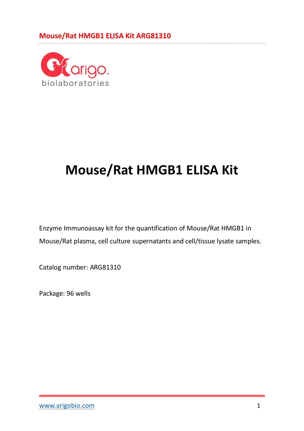

# **Mouse/Rat HMGB1 ELISA Kit**

Enzyme Immunoassay kit for the quantification of Mouse/Rat HMGB1 in Mouse/Rat plasma, cell culture supernatants and cell/tissue lysate samples.

Catalog number: ARG81310

Package: 96 wells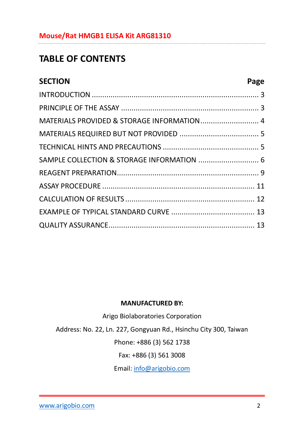## **TABLE OF CONTENTS**

| <b>SECTION</b>                             | Page |
|--------------------------------------------|------|
|                                            |      |
|                                            |      |
| MATERIALS PROVIDED & STORAGE INFORMATION 4 |      |
|                                            |      |
|                                            |      |
| SAMPLE COLLECTION & STORAGE INFORMATION  6 |      |
|                                            |      |
|                                            |      |
|                                            |      |
|                                            |      |
|                                            |      |

#### **MANUFACTURED BY:**

Arigo Biolaboratories Corporation

Address: No. 22, Ln. 227, Gongyuan Rd., Hsinchu City 300, Taiwan

Phone: +886 (3) 562 1738

Fax: +886 (3) 561 3008

Email[: info@arigobio.com](mailto:info@arigobio.com)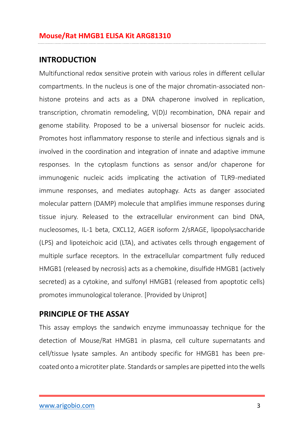#### <span id="page-2-0"></span>**INTRODUCTION**

Multifunctional redox sensitive protein with various roles in different cellular compartments. In the nucleus is one of the major chromatin-associated nonhistone proteins and acts as a DNA chaperone involved in replication, transcription, chromatin remodeling, V(D)J recombination, DNA repair and genome stability. Proposed to be a universal biosensor for nucleic acids. Promotes host inflammatory response to sterile and infectious signals and is involved in the coordination and integration of innate and adaptive immune responses. In the cytoplasm functions as sensor and/or chaperone for immunogenic nucleic acids implicating the activation of TLR9-mediated immune responses, and mediates autophagy. Acts as danger associated molecular pattern (DAMP) molecule that amplifies immune responses during tissue injury. Released to the extracellular environment can bind DNA, nucleosomes, IL-1 beta, CXCL12, AGER isoform 2/sRAGE, lipopolysaccharide (LPS) and lipoteichoic acid (LTA), and activates cells through engagement of multiple surface receptors. In the extracellular compartment fully reduced HMGB1 (released by necrosis) acts as a chemokine, disulfide HMGB1 (actively secreted) as a cytokine, and sulfonyl HMGB1 (released from apoptotic cells) promotes immunological tolerance. [Provided by Uniprot]

#### <span id="page-2-1"></span>**PRINCIPLE OF THE ASSAY**

This assay employs the sandwich enzyme immunoassay technique for the detection of Mouse/Rat HMGB1 in plasma, cell culture supernatants and cell/tissue lysate samples. An antibody specific for HMGB1 has been precoated onto a microtiter plate. Standards or samples are pipetted into the wells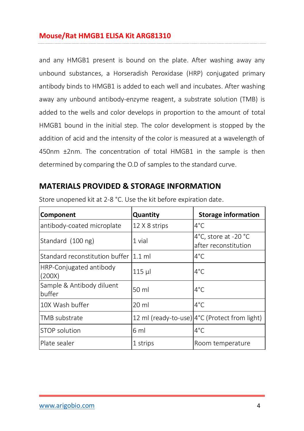and any HMGB1 present is bound on the plate. After washing away any unbound substances, a Horseradish Peroxidase (HRP) conjugated primary antibody binds to HMGB1 is added to each well and incubates. After washing away any unbound antibody-enzyme reagent, a substrate solution (TMB) is added to the wells and color develops in proportion to the amount of total HMGB1 bound in the initial step. The color development is stopped by the addition of acid and the intensity of the color is measured at a wavelength of 450nm ±2nm. The concentration of total HMGB1 in the sample is then determined by comparing the O.D of samples to the standard curve.

## <span id="page-3-0"></span>**MATERIALS PROVIDED & STORAGE INFORMATION**

| <b>Component</b>                      | Quantity      | <b>Storage information</b>                             |
|---------------------------------------|---------------|--------------------------------------------------------|
| antibody-coated microplate            | 12 X 8 strips | $4^{\circ}$ C                                          |
| Standard (100 ng)                     | 1 vial        | 4°C, store at -20 $^{\circ}$ C<br>after reconstitution |
| Standard reconstitution buffer 1.1 ml |               | $4^{\circ}$ C                                          |
| HRP-Conjugated antibody<br>(200X)     | $115$ µ       | $4^{\circ}$ C                                          |
| Sample & Antibody diluent<br>buffer   | 50 ml         | $4^{\circ}$ C                                          |
| 10X Wash buffer                       | 20 ml         | $4^{\circ}$ C                                          |
| TMB substrate                         |               | 12 ml (ready-to-use) 4°C (Protect from light)          |
| STOP solution                         | 6 ml          | $4^{\circ}$ C                                          |
| Plate sealer                          | 1 strips      | Room temperature                                       |

Store unopened kit at 2-8 °C. Use the kit before expiration date.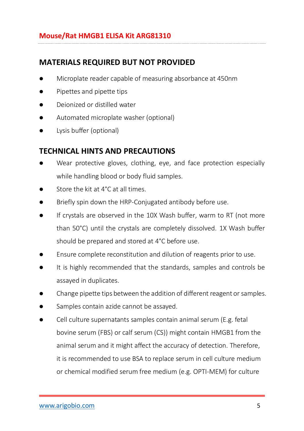## <span id="page-4-0"></span>**MATERIALS REQUIRED BUT NOT PROVIDED**

- Microplate reader capable of measuring absorbance at 450nm
- Pipettes and pipette tips
- Deionized or distilled water
- Automated microplate washer (optional)
- **•** Lysis buffer (optional)

## <span id="page-4-1"></span>**TECHNICAL HINTS AND PRECAUTIONS**

- Wear protective gloves, clothing, eye, and face protection especially while handling blood or body fluid samples.
- Store the kit at 4°C at all times.
- Briefly spin down the HRP-Conjugated antibody before use.
- If crystals are observed in the 10X Wash buffer, warm to RT (not more than 50°C) until the crystals are completely dissolved. 1X Wash buffer should be prepared and stored at 4°C before use.
- Ensure complete reconstitution and dilution of reagents prior to use.
- It is highly recommended that the standards, samples and controls be assayed in duplicates.
- Change pipette tips between the addition of different reagent or samples.
- Samples contain azide cannot be assayed.
- Cell culture supernatants samples contain animal serum (E.g. fetal bovine serum (FBS) or calf serum (CS)) might contain HMGB1 from the animal serum and it might affect the accuracy of detection. Therefore, it is recommended to use BSA to replace serum in cell culture medium or chemical modified serum free medium (e.g. OPTI-MEM) for culture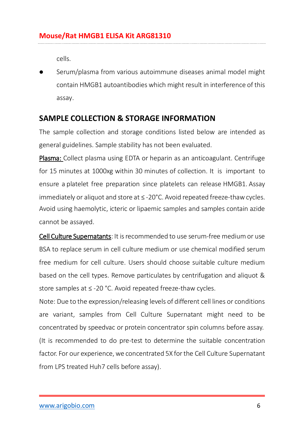cells.

 Serum/plasma from various autoimmune diseases animal model might contain HMGB1 autoantibodies which might result in interference of this assay.

## <span id="page-5-0"></span>**SAMPLE COLLECTION & STORAGE INFORMATION**

The sample collection and storage conditions listed below are intended as general guidelines. Sample stability has not been evaluated.

Plasma: Collect plasma using EDTA or heparin as an anticoagulant. Centrifuge for 15 minutes at 1000xg within 30 minutes of collection. It is important to ensure a platelet free preparation since platelets can release HMGB1. Assay immediately or aliquot and store at ≤ -20°C. Avoid repeated freeze-thaw cycles. Avoid using haemolytic, icteric or lipaemic samples and samples contain azide cannot be assayed.

Cell Culture Supernatants: It is recommended to use serum-free medium or use BSA to replace serum in cell culture medium or use chemical modified serum free medium for cell culture. Users should choose suitable culture medium based on the cell types. Remove particulates by centrifugation and aliquot & store samples at ≤ -20 °C. Avoid repeated freeze-thaw cycles.

Note: Due to the expression/releasing levels of different cell lines or conditions are variant, samples from Cell Culture Supernatant might need to be concentrated by speedvac or protein concentrator spin columns before assay. (It is recommended to do pre-test to determine the suitable concentration factor. For our experience, we concentrated 5X for the Cell Culture Supernatant from LPS treated Huh7 cells before assay).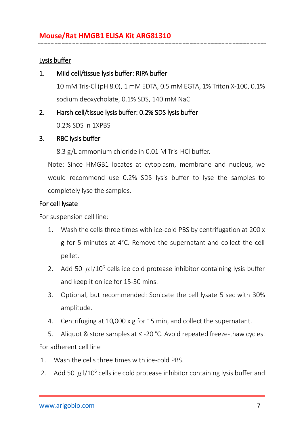#### Lysis buffer

1. Mild cell/tissue lysis buffer: RIPA buffer

10 mM Tris-Cl (pH 8.0), 1 mM EDTA, 0.5 mM EGTA, 1% Triton X-100, 0.1% sodium deoxycholate, 0.1% SDS, 140 mM NaCl

#### 2. Harsh cell/tissue lysis buffer: 0.2% SDS lysis buffer

0.2% SDS in 1XPBS

#### 3. RBC lysis buffer

8.3 g/L ammonium chloride in 0.01 M Tris-HCl buffer.

Note: Since HMGB1 locates at cytoplasm, membrane and nucleus, we would recommend use 0.2% SDS lysis buffer to lyse the samples to completely lyse the samples.

#### For cell lysate

For suspension cell line:

- 1. Wash the cells three times with ice-cold PBS by centrifugation at 200 x g for 5 minutes at 4°C. Remove the supernatant and collect the cell pellet.
- 2. Add 50  $\mu$  l/10<sup>6</sup> cells ice cold protease inhibitor containing lysis buffer and keep it on ice for 15-30 mins.
- 3. Optional, but recommended: Sonicate the cell lysate 5 sec with 30% amplitude.
- 4. Centrifuging at 10,000 x g for 15 min, and collect the supernatant.
- 5. Aliquot & store samples at ≤ -20 °C. Avoid repeated freeze-thaw cycles.

For adherent cell line

- 1. Wash the cells three times with ice-cold PBS.
- 2. Add 50  $\mu$  I/10<sup>6</sup> cells ice cold protease inhibitor containing lysis buffer and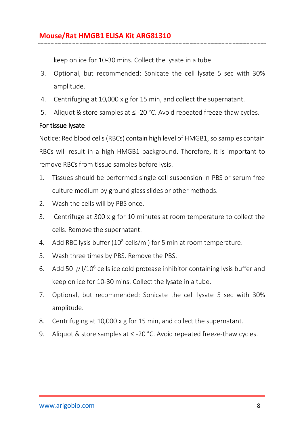keep on ice for 10-30 mins. Collect the lysate in a tube.

- 3. Optional, but recommended: Sonicate the cell lysate 5 sec with 30% amplitude.
- 4. Centrifuging at 10,000 x g for 15 min, and collect the supernatant.
- 5. Aliquot & store samples at ≤ -20 °C. Avoid repeated freeze-thaw cycles.

#### For tissue lysate

Notice: Red blood cells (RBCs) contain high level of HMGB1, so samples contain RBCs will result in a high HMGB1 background. Therefore, it is important to remove RBCs from tissue samples before lysis.

- 1. Tissues should be performed single cell suspension in PBS or serum free culture medium by ground glass slides or other methods.
- 2. Wash the cells will by PBS once.
- 3. Centrifuge at 300 x g for 10 minutes at room temperature to collect the cells. Remove the supernatant.
- 4. Add RBC lysis buffer (10<sup>8</sup> cells/ml) for 5 min at room temperature.
- 5. Wash three times by PBS. Remove the PBS.
- 6. Add 50  $\mu$  I/10<sup>6</sup> cells ice cold protease inhibitor containing lysis buffer and keep on ice for 10-30 mins. Collect the lysate in a tube.
- 7. Optional, but recommended: Sonicate the cell lysate 5 sec with 30% amplitude.
- 8. Centrifuging at 10,000 x g for 15 min, and collect the supernatant.
- 9. Aliquot & store samples at ≤ -20 °C. Avoid repeated freeze-thaw cycles.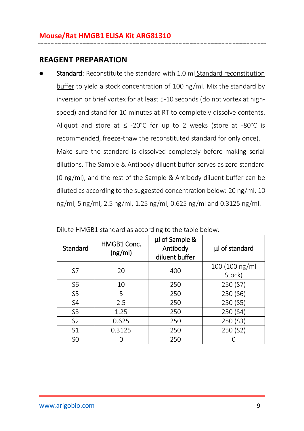## <span id="page-8-0"></span>**REAGENT PREPARATION**

 Standard: Reconstitute the standard with 1.0 ml Standard reconstitution buffer to yield a stock concentration of 100 ng/ml. Mix the standard by inversion or brief vortex for at least 5-10 seconds (do not vortex at highspeed) and stand for 10 minutes at RT to completely dissolve contents. Aliquot and store at ≤ -20°C for up to 2 weeks (store at -80°C is recommended, freeze-thaw the reconstituted standard for only once). Make sure the standard is dissolved completely before making serial dilutions. The Sample & Antibody diluent buffer serves as zero standard (0 ng/ml), and the rest of the Sample & Antibody diluent buffer can be diluted as according to the suggested concentration below: 20 ng/ml, 10 ng/ml, 5 ng/ml, 2.5 ng/ml, 1.25 ng/ml, 0.625 ng/ml and 0.3125 ng/ml.

| Standard       | HMGB1 Conc.<br>(ng/ml) | µl of Sample &<br>Antibody<br>diluent buffer | µl of standard           |
|----------------|------------------------|----------------------------------------------|--------------------------|
| S7             | 20                     | 400                                          | 100 (100 ng/ml<br>Stock) |
| S <sub>6</sub> | 10                     | 250                                          | 250 (S7)                 |
| S <sub>5</sub> | 5                      | 250                                          | 250 (S6)                 |
| S <sub>4</sub> | 2.5                    | 250                                          | 250 (S5)                 |
| S <sub>3</sub> | 1.25                   | 250                                          | 250 (S4)                 |
| S <sub>2</sub> | 0.625                  | 250                                          | 250 (S3)                 |
| S <sub>1</sub> | 0.3125                 | 250                                          | 250 (S2)                 |
| S <sub>0</sub> |                        | 250                                          |                          |

|  | Dilute HMGB1 standard as according to the table below: |  |  |  |  |  |  |
|--|--------------------------------------------------------|--|--|--|--|--|--|
|--|--------------------------------------------------------|--|--|--|--|--|--|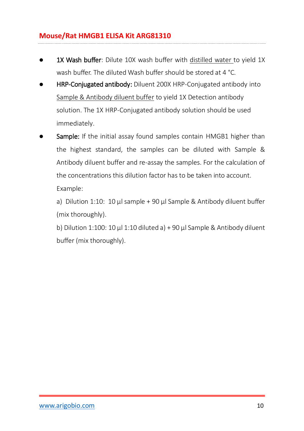- 1X Wash buffer: Dilute 10X wash buffer with distilled water to vield 1X wash buffer. The diluted Wash buffer should be stored at 4 °C.
- HRP-Conjugated antibody: Diluent 200X HRP-Conjugated antibody into Sample & Antibody diluent buffer to yield 1X Detection antibody solution. The 1X HRP-Conjugated antibody solution should be used immediately.
- Sample: If the initial assay found samples contain HMGB1 higher than the highest standard, the samples can be diluted with Sample & Antibody diluent buffer and re-assay the samples. For the calculation of the concentrations this dilution factor has to be taken into account. Example:

a) Dilution 1:10: 10  $\mu$  sample + 90  $\mu$  Sample & Antibody diluent buffer (mix thoroughly).

b) Dilution 1:100: 10  $\mu$ l 1:10 diluted a) + 90  $\mu$ l Sample & Antibody diluent buffer (mix thoroughly).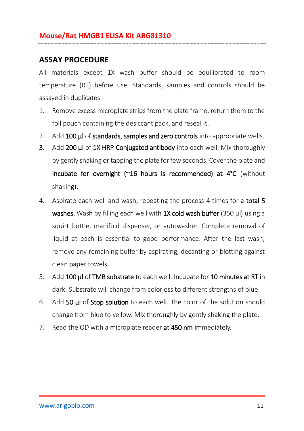## <span id="page-10-0"></span>**ASSAY PROCEDURE**

All materials except 1X wash buffer should be equilibrated to room temperature (RT) before use. Standards, samples and controls should be assayed in duplicates.

- 1. Remove excess microplate strips from the plate frame, return them to the foil pouch containing the desiccant pack, and reseal it.
- 2. Add 100 µl of standards, samples and zero controls into appropriate wells.
- 3. Add 200 µl of 1X HRP-Conjugated antibody into each well. Mix thoroughly by gently shaking or tapping the plate for few seconds. Cover the plate and incubate for overnight  $(^\sim 16$  hours is recommended) at  $4^\circ C$  (without shaking).
- 4. Aspirate each well and wash, repeating the process 4 times for a **total 5** washes. Wash by filling each well with 1X cold wash buffer (350 μl) using a squirt bottle, manifold dispenser, or autowasher. Complete removal of liquid at each is essential to good performance. After the last wash, remove any remaining buffer by aspirating, decanting or blotting against clean paper towels.
- 5. Add 100 μl of TMB substrate to each well. Incubate for 10 minutes at RT in dark. Substrate will change from colorless to different strengths of blue.
- 6. Add 50 μl of Stop solution to each well. The color of the solution should change from blue to yellow. Mix thoroughly by gently shaking the plate.
- 7. Read the OD with a microplate reader **at 450 nm** immediately.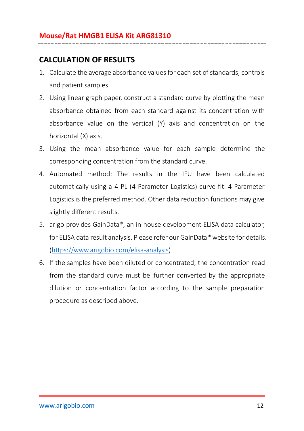## <span id="page-11-0"></span>**CALCULATION OF RESULTS**

- 1. Calculate the average absorbance values for each set of standards, controls and patient samples.
- 2. Using linear graph paper, construct a standard curve by plotting the mean absorbance obtained from each standard against its concentration with absorbance value on the vertical (Y) axis and concentration on the horizontal (X) axis.
- 3. Using the mean absorbance value for each sample determine the corresponding concentration from the standard curve.
- 4. Automated method: The results in the IFU have been calculated automatically using a 4 PL (4 Parameter Logistics) curve fit. 4 Parameter Logistics is the preferred method. Other data reduction functions may give slightly different results.
- 5. arigo provides GainData®, an in-house development ELISA data calculator, for ELISA data result analysis. Please refer our GainData® website for details. [\(https://www.arigobio.com/elisa-analysis\)](https://www.arigobio.com/elisa-analysis)
- 6. If the samples have been diluted or concentrated, the concentration read from the standard curve must be further converted by the appropriate dilution or concentration factor according to the sample preparation procedure as described above.